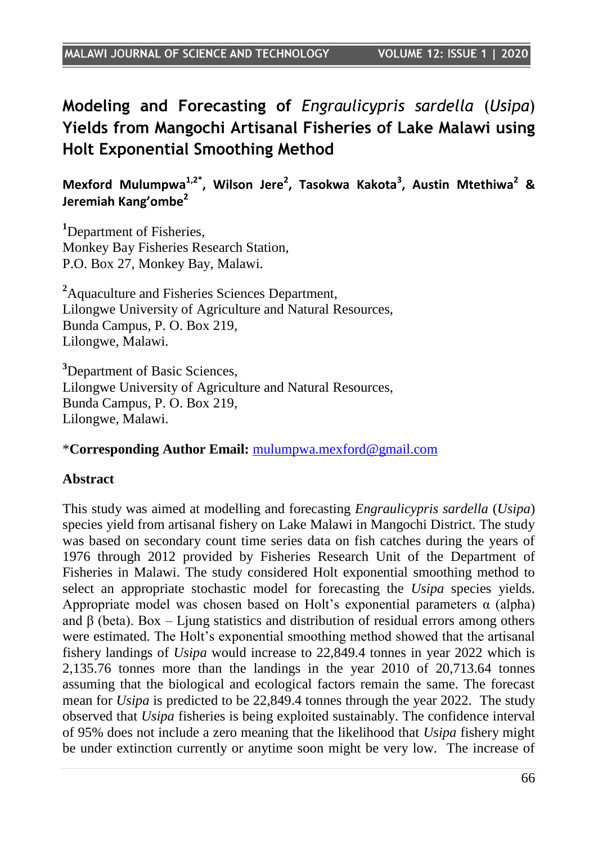**Modeling and Forecasting of** *Engraulicypris sardella* (*Usipa*) **Yields from Mangochi Artisanal Fisheries of Lake Malawi using Holt Exponential Smoothing Method**

**Mexford Mulumpwa1,2\* , Wilson Jere<sup>2</sup> , Tasokwa Kakota<sup>3</sup> , Austin Mtethiwa<sup>2</sup> & Jeremiah Kang'ombe<sup>2</sup>**

**<sup>1</sup>**Department of Fisheries, Monkey Bay Fisheries Research Station, P.O. Box 27, Monkey Bay, Malawi.

**<sup>2</sup>**Aquaculture and Fisheries Sciences Department, Lilongwe University of Agriculture and Natural Resources, Bunda Campus, P. O. Box 219, Lilongwe, Malawi.

**<sup>3</sup>**Department of Basic Sciences, Lilongwe University of Agriculture and Natural Resources, Bunda Campus, P. O. Box 219, Lilongwe, Malawi.

#### \***Corresponding Author Email:** [mulumpwa.mexford@gmail.com](mailto:mulumpwa.mexford@gmail.com)

#### **Abstract**

This study was aimed at modelling and forecasting *Engraulicypris sardella* (*Usipa*) species yield from artisanal fishery on Lake Malawi in Mangochi District. The study was based on secondary count time series data on fish catches during the years of 1976 through 2012 provided by Fisheries Research Unit of the Department of Fisheries in Malawi. The study considered Holt exponential smoothing method to select an appropriate stochastic model for forecasting the *Usipa* species yields. Appropriate model was chosen based on Holt's exponential parameters  $\alpha$  (alpha) and  $\beta$  (beta). Box – Ljung statistics and distribution of residual errors among others were estimated. The Holt"s exponential smoothing method showed that the artisanal fishery landings of *Usipa* would increase to 22,849.4 tonnes in year 2022 which is 2,135.76 tonnes more than the landings in the year 2010 of 20,713.64 tonnes assuming that the biological and ecological factors remain the same. The forecast mean for *Usipa* is predicted to be 22,849.4 tonnes through the year 2022. The study observed that *Usipa* fisheries is being exploited sustainably. The confidence interval of 95% does not include a zero meaning that the likelihood that *Usipa* fishery might be under extinction currently or anytime soon might be very low. The increase of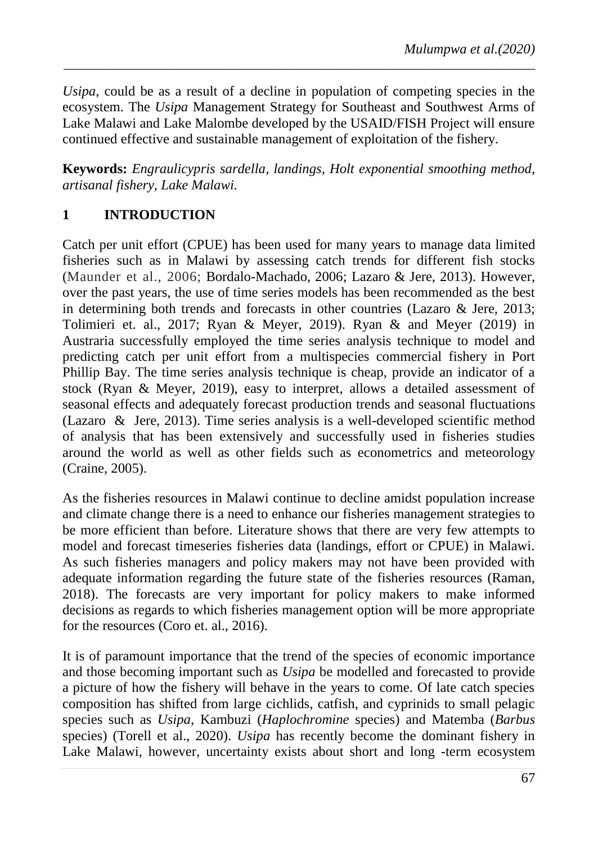*Usipa*, could be as a result of a decline in population of competing species in the ecosystem. The *Usipa* Management Strategy for Southeast and Southwest Arms of Lake Malawi and Lake Malombe developed by the USAID/FISH Project will ensure continued effective and sustainable management of exploitation of the fishery.

*\_\_\_\_\_\_\_\_\_\_\_\_\_\_\_\_\_\_\_\_\_\_\_\_\_\_\_\_\_\_\_\_\_\_\_\_\_\_\_\_\_\_\_\_\_\_\_\_\_\_\_\_\_\_\_\_\_\_\_\_\_\_\_\_\_\_\_\_\_\_\_\_\_\_*

**Keywords:** *Engraulicypris sardella, landings, Holt exponential smoothing method, artisanal fishery, Lake Malawi.*

## **1 INTRODUCTION**

Catch per unit effort (CPUE) has been used for many years to manage data limited fisheries such as in Malawi by assessing catch trends for different fish stocks (Maunder et al., 2006; Bordalo-Machado, 2006; Lazaro & Jere, 2013). However, over the past years, the use of time series models has been recommended as the best in determining both trends and forecasts in other countries (Lazaro & Jere, 2013; Tolimieri et. al., 2017; Ryan & Meyer, 2019). Ryan & and Meyer (2019) in Austraria successfully employed the time series analysis technique to model and predicting catch per unit effort from a multispecies commercial fishery in Port Phillip Bay. The time series analysis technique is cheap, provide an indicator of a stock (Ryan & Meyer, 2019), easy to interpret, allows a detailed assessment of seasonal effects and adequately forecast production trends and seasonal fluctuations (Lazaro & Jere, 2013). Time series analysis is a well-developed scientific method of analysis that has been extensively and successfully used in fisheries studies around the world as well as other fields such as econometrics and meteorology (Craine, 2005).

As the fisheries resources in Malawi continue to decline amidst population increase and climate change there is a need to enhance our fisheries management strategies to be more efficient than before. Literature shows that there are very few attempts to model and forecast timeseries fisheries data (landings, effort or CPUE) in Malawi. As such fisheries managers and policy makers may not have been provided with adequate information regarding the future state of the fisheries resources (Raman, 2018). The forecasts are very important for policy makers to make informed decisions as regards to which fisheries management option will be more appropriate for the resources (Coro et. al., 2016).

It is of paramount importance that the trend of the species of economic importance and those becoming important such as *Usipa* be modelled and forecasted to provide a picture of how the fishery will behave in the years to come. Of late catch species composition has shifted from large cichlids, catfish, and cyprinids to small pelagic species such as *Usipa*, Kambuzi (*Haplochromine* species) and Matemba (*Barbus*  species) (Torell et al., 2020). *Usipa* has recently become the dominant fishery in Lake Malawi, however, uncertainty exists about short and long -term ecosystem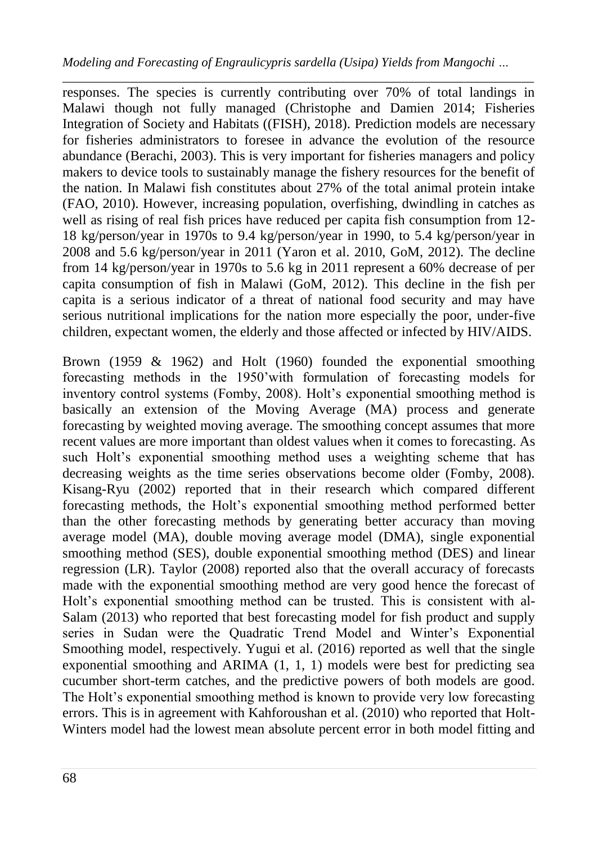*\_\_\_\_\_\_\_\_\_\_\_\_\_\_\_\_\_\_\_\_\_\_\_\_\_\_\_\_\_\_\_\_\_\_\_\_\_\_\_\_\_\_\_\_\_\_\_\_\_\_\_\_\_\_\_\_\_\_\_\_\_\_\_\_\_\_\_\_\_\_\_\_\_\_* responses. The species is currently contributing over 70% of total landings in Malawi though not fully managed (Christophe and Damien 2014; Fisheries Integration of Society and Habitats ((FISH), 2018). Prediction models are necessary for fisheries administrators to foresee in advance the evolution of the resource abundance (Berachi, 2003). This is very important for fisheries managers and policy makers to device tools to sustainably manage the fishery resources for the benefit of the nation. In Malawi fish constitutes about 27% of the total animal protein intake (FAO, 2010). However, increasing population, overfishing, dwindling in catches as well as rising of real fish prices have reduced per capita fish consumption from 12- 18 kg/person/year in 1970s to 9.4 kg/person/year in 1990, to 5.4 kg/person/year in 2008 and 5.6 kg/person/year in 2011 (Yaron et al. 2010, GoM, 2012). The decline from 14 kg/person/year in 1970s to 5.6 kg in 2011 represent a 60% decrease of per capita consumption of fish in Malawi (GoM, 2012). This decline in the fish per capita is a serious indicator of a threat of national food security and may have serious nutritional implications for the nation more especially the poor, under-five children, expectant women, the elderly and those affected or infected by HIV/AIDS.

Brown (1959 & 1962) and Holt (1960) founded the exponential smoothing forecasting methods in the 1950"with formulation of forecasting models for inventory control systems (Fomby, 2008). Holt's exponential smoothing method is basically an extension of the Moving Average (MA) process and generate forecasting by weighted moving average. The smoothing concept assumes that more recent values are more important than oldest values when it comes to forecasting. As such Holt's exponential smoothing method uses a weighting scheme that has decreasing weights as the time series observations become older (Fomby, 2008). Kisang-Ryu (2002) reported that in their research which compared different forecasting methods, the Holt"s exponential smoothing method performed better than the other forecasting methods by generating better accuracy than moving average model (MA), double moving average model (DMA), single exponential smoothing method (SES), double exponential smoothing method (DES) and linear regression (LR). Taylor (2008) reported also that the overall accuracy of forecasts made with the exponential smoothing method are very good hence the forecast of Holt's exponential smoothing method can be trusted. This is consistent with al-Salam (2013) who reported that best forecasting model for fish product and supply series in Sudan were the Quadratic Trend Model and Winter"s Exponential Smoothing model, respectively. Yugui et al. (2016) reported as well that the single exponential smoothing and ARIMA (1, 1, 1) models were best for predicting sea cucumber short-term catches, and the predictive powers of both models are good. The Holt"s exponential smoothing method is known to provide very low forecasting errors. This is in agreement with Kahforoushan et al. (2010) who reported that Holt-Winters model had the lowest mean absolute percent error in both model fitting and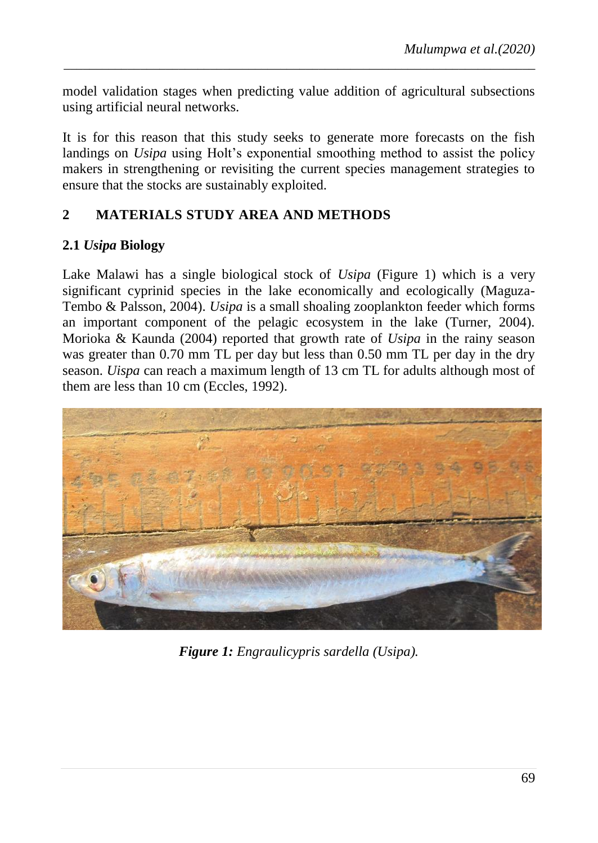model validation stages when predicting value addition of agricultural subsections using artificial neural networks.

*\_\_\_\_\_\_\_\_\_\_\_\_\_\_\_\_\_\_\_\_\_\_\_\_\_\_\_\_\_\_\_\_\_\_\_\_\_\_\_\_\_\_\_\_\_\_\_\_\_\_\_\_\_\_\_\_\_\_\_\_\_\_\_\_\_\_\_\_\_\_\_\_\_\_*

It is for this reason that this study seeks to generate more forecasts on the fish landings on *Usipa* using Holt's exponential smoothing method to assist the policy makers in strengthening or revisiting the current species management strategies to ensure that the stocks are sustainably exploited.

## **2 MATERIALS STUDY AREA AND METHODS**

## **2.1** *Usipa* **Biology**

Lake Malawi has a single biological stock of *Usipa* (Figure 1) which is a very significant cyprinid species in the lake economically and ecologically (Maguza-Tembo & Palsson, 2004). *Usipa* is a small shoaling zooplankton feeder which forms an important component of the pelagic ecosystem in the lake (Turner, 2004). Morioka & Kaunda (2004) reported that growth rate of *Usipa* in the rainy season was greater than 0.70 mm TL per day but less than 0.50 mm TL per day in the dry season. *Uispa* can reach a maximum length of 13 cm TL for adults although most of them are less than 10 cm (Eccles, 1992).



*Figure 1: Engraulicypris sardella (Usipa).*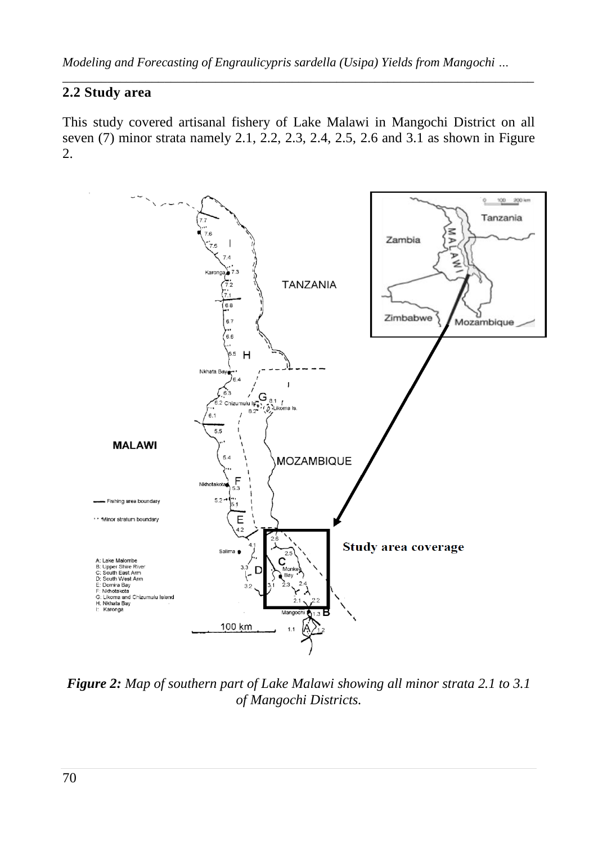## **2.2 Study area**

This study covered artisanal fishery of Lake Malawi in Mangochi District on all seven (7) minor strata namely 2.1, 2.2, 2.3, 2.4, 2.5, 2.6 and 3.1 as shown in Figure 2.



*Figure 2: Map of southern part of Lake Malawi showing all minor strata 2.1 to 3.1 of Mangochi Districts.*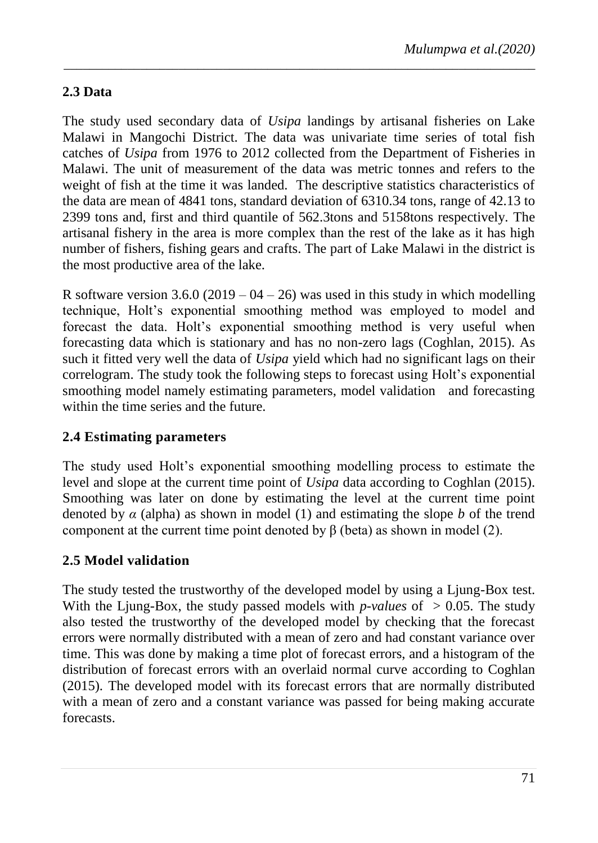## **2.3 Data**

The study used secondary data of *Usipa* landings by artisanal fisheries on Lake Malawi in Mangochi District. The data was univariate time series of total fish catches of *Usipa* from 1976 to 2012 collected from the Department of Fisheries in Malawi. The unit of measurement of the data was metric tonnes and refers to the weight of fish at the time it was landed. The descriptive statistics characteristics of the data are mean of 4841 tons, standard deviation of 6310.34 tons, range of 42.13 to 2399 tons and, first and third quantile of 562.3tons and 5158tons respectively. The artisanal fishery in the area is more complex than the rest of the lake as it has high number of fishers, fishing gears and crafts. The part of Lake Malawi in the district is the most productive area of the lake.

*\_\_\_\_\_\_\_\_\_\_\_\_\_\_\_\_\_\_\_\_\_\_\_\_\_\_\_\_\_\_\_\_\_\_\_\_\_\_\_\_\_\_\_\_\_\_\_\_\_\_\_\_\_\_\_\_\_\_\_\_\_\_\_\_\_\_\_\_\_\_\_\_\_\_*

R software version  $3.6.0$  (2019 – 04 – 26) was used in this study in which modelling technique, Holt"s exponential smoothing method was employed to model and forecast the data Holt"s exponential smoothing method is very useful when forecasting data which is stationary and has no non-zero lags (Coghlan, 2015). As such it fitted very well the data of *Usipa* yield which had no significant lags on their correlogram. The study took the following steps to forecast using Holt's exponential smoothing model namely estimating parameters, model validation and forecasting within the time series and the future.

## **2.4 Estimating parameters**

The study used Holt"s exponential smoothing modelling process to estimate the level and slope at the current time point of *Usipa* data according to Coghlan (2015). Smoothing was later on done by estimating the level at the current time point denoted by *α* (alpha) as shown in model (1) and estimating the slope *b* of the trend component at the current time point denoted by β (beta) as shown in model (2).

## **2.5 Model validation**

The study tested the trustworthy of the developed model by using a Ljung-Box test. With the Ljung-Box, the study passed models with *p-values* of  $> 0.05$ . The study also tested the trustworthy of the developed model by checking that the forecast errors were normally distributed with a mean of zero and had constant variance over time. This was done by making a time plot of forecast errors, and a histogram of the distribution of forecast errors with an overlaid normal curve according to Coghlan (2015). The developed model with its forecast errors that are normally distributed with a mean of zero and a constant variance was passed for being making accurate forecasts.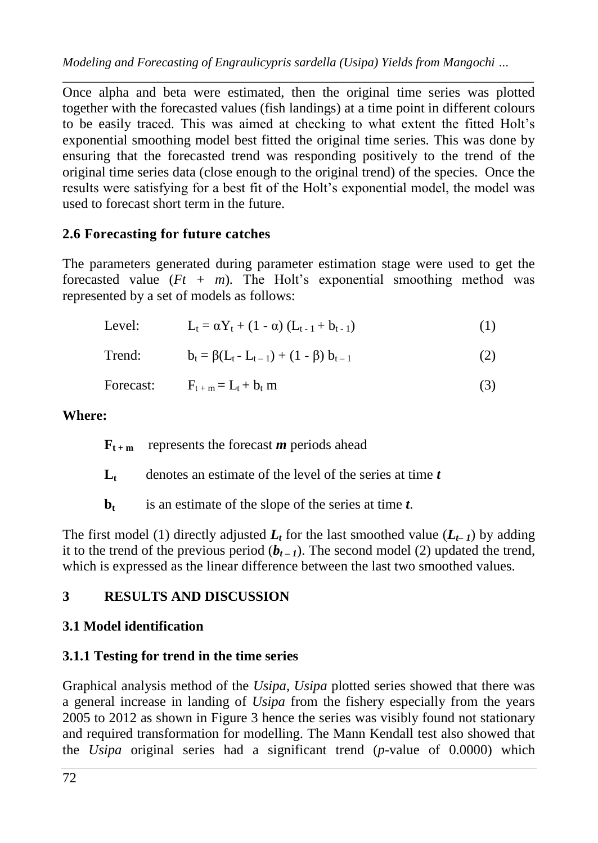*\_\_\_\_\_\_\_\_\_\_\_\_\_\_\_\_\_\_\_\_\_\_\_\_\_\_\_\_\_\_\_\_\_\_\_\_\_\_\_\_\_\_\_\_\_\_\_\_\_\_\_\_\_\_\_\_\_\_\_\_\_\_\_\_\_\_\_\_\_\_\_\_\_\_* Once alpha and beta were estimated, then the original time series was plotted together with the forecasted values (fish landings) at a time point in different colours to be easily traced. This was aimed at checking to what extent the fitted Holt's exponential smoothing model best fitted the original time series. This was done by ensuring that the forecasted trend was responding positively to the trend of the original time series data (close enough to the original trend) of the species. Once the results were satisfying for a best fit of the Holt"s exponential model, the model was used to forecast short term in the future.

# **2.6 Forecasting for future catches**

The parameters generated during parameter estimation stage were used to get the forecasted value  $(Ft + m)$ . The Holt's exponential smoothing method was represented by a set of models as follows:

| Level:    | $L_t = \alpha Y_t + (1 - \alpha) (L_{t-1} + b_{t-1})$ | (1) |
|-----------|-------------------------------------------------------|-----|
| Trend:    | $b_t = \beta(L_t - L_{t-1}) + (1 - \beta) b_{t-1}$    | (2) |
| Forecast: | $F_{t+m} = L_t + b_t$ m                               | (3) |

## **Where:**

 $\mathbf{F}_{\mathbf{t} + \mathbf{m}}$  represents the forecast *m* periods ahead

 $L_t$  denotes an estimate of the level of the series at time  $t$ 

**b<sup>t</sup>** is an estimate of the slope of the series at time *t*.

The first model (1) directly adjusted  $L_t$  for the last smoothed value  $(L_{t-1})$  by adding it to the trend of the previous period  $(b_{t-1})$ . The second model (2) updated the trend, which is expressed as the linear difference between the last two smoothed values.

# **3 RESULTS AND DISCUSSION**

# **3.1 Model identification**

# **3.1.1 Testing for trend in the time series**

Graphical analysis method of the *Usipa*, *Usipa* plotted series showed that there was a general increase in landing of *Usipa* from the fishery especially from the years 2005 to 2012 as shown in Figure 3 hence the series was visibly found not stationary and required transformation for modelling. The Mann Kendall test also showed that the *Usipa* original series had a significant trend (*p*-value of 0.0000) which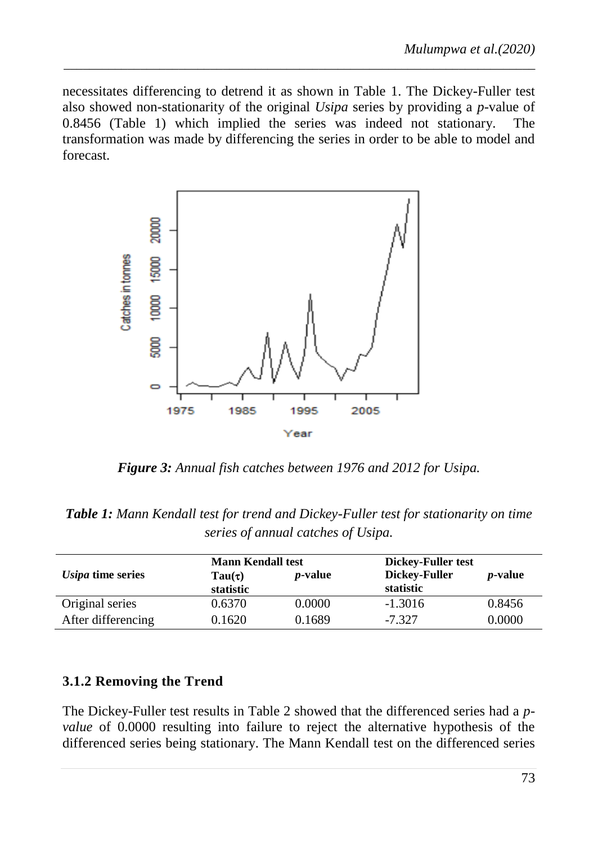necessitates differencing to detrend it as shown in Table 1. The Dickey-Fuller test also showed non-stationarity of the original *Usipa* series by providing a *p*-value of 0.8456 (Table 1) which implied the series was indeed not stationary. The transformation was made by differencing the series in order to be able to model and forecast.

*\_\_\_\_\_\_\_\_\_\_\_\_\_\_\_\_\_\_\_\_\_\_\_\_\_\_\_\_\_\_\_\_\_\_\_\_\_\_\_\_\_\_\_\_\_\_\_\_\_\_\_\_\_\_\_\_\_\_\_\_\_\_\_\_\_\_\_\_\_\_\_\_\_\_*



*Figure 3: Annual fish catches between 1976 and 2012 for Usipa.*

*Table 1: Mann Kendall test for trend and Dickey-Fuller test for stationarity on time series of annual catches of Usipa.*

|                    | <b>Mann Kendall test</b> |                 | Dickey-Fuller test |                 |
|--------------------|--------------------------|-----------------|--------------------|-----------------|
| Usipa time series  | Tau $(\tau)$             | <i>p</i> -value | Dickey-Fuller      | <i>p</i> -value |
|                    | statistic                |                 | statistic          |                 |
| Original series    | 0.6370                   | 0.0000          | $-1.3016$          | 0.8456          |
| After differencing | 0.1620                   | 0.1689          | $-7.327$           | 0.0000          |

#### **3.1.2 Removing the Trend**

The Dickey-Fuller test results in Table 2 showed that the differenced series had a *pvalue* of 0.0000 resulting into failure to reject the alternative hypothesis of the differenced series being stationary. The Mann Kendall test on the differenced series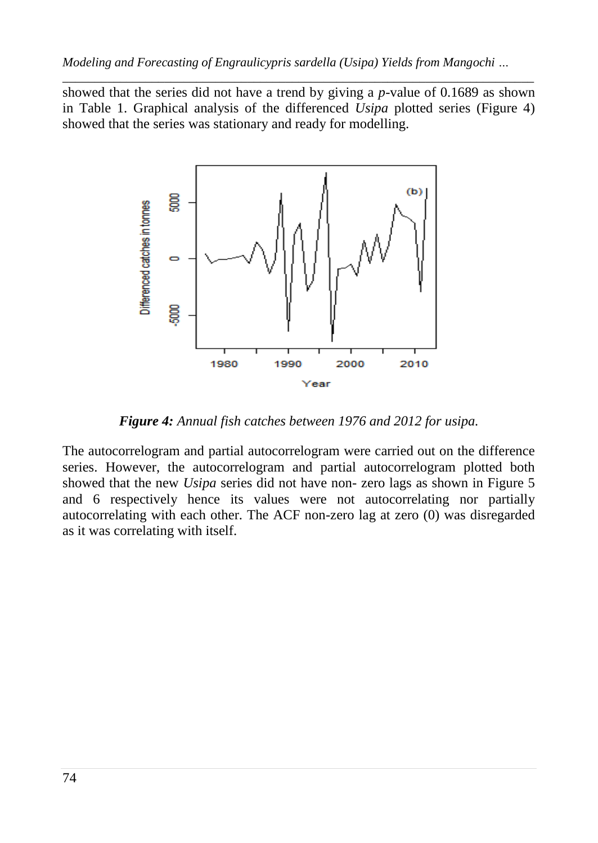*\_\_\_\_\_\_\_\_\_\_\_\_\_\_\_\_\_\_\_\_\_\_\_\_\_\_\_\_\_\_\_\_\_\_\_\_\_\_\_\_\_\_\_\_\_\_\_\_\_\_\_\_\_\_\_\_\_\_\_\_\_\_\_\_\_\_\_\_\_\_\_\_\_\_* showed that the series did not have a trend by giving a *p*-value of 0.1689 as shown in Table 1. Graphical analysis of the differenced *Usipa* plotted series (Figure 4) showed that the series was stationary and ready for modelling.



*Figure 4: Annual fish catches between 1976 and 2012 for usipa.*

The autocorrelogram and partial autocorrelogram were carried out on the difference series. However, the autocorrelogram and partial autocorrelogram plotted both showed that the new *Usipa* series did not have non- zero lags as shown in Figure 5 and 6 respectively hence its values were not autocorrelating nor partially autocorrelating with each other. The ACF non-zero lag at zero (0) was disregarded as it was correlating with itself.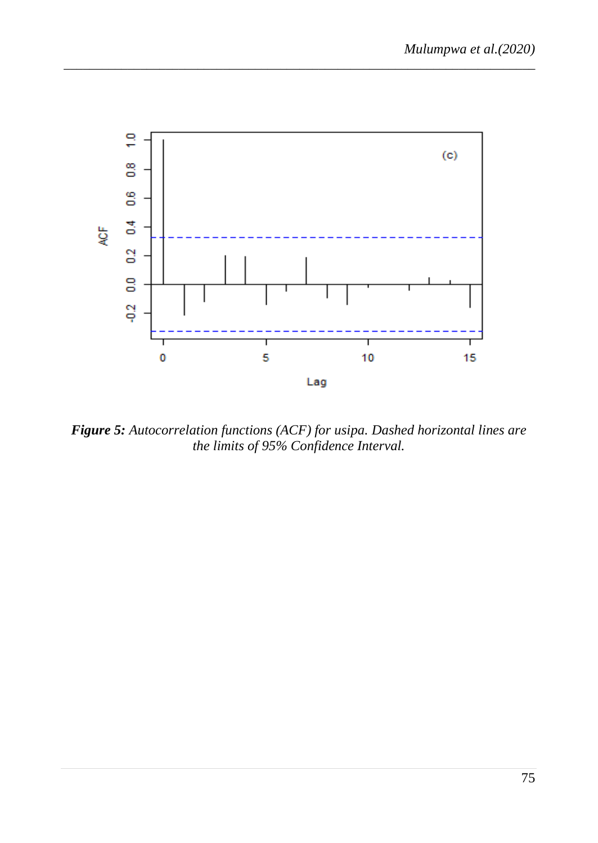

*Figure 5: Autocorrelation functions (ACF) for usipa. Dashed horizontal lines are the limits of 95% Confidence Interval.*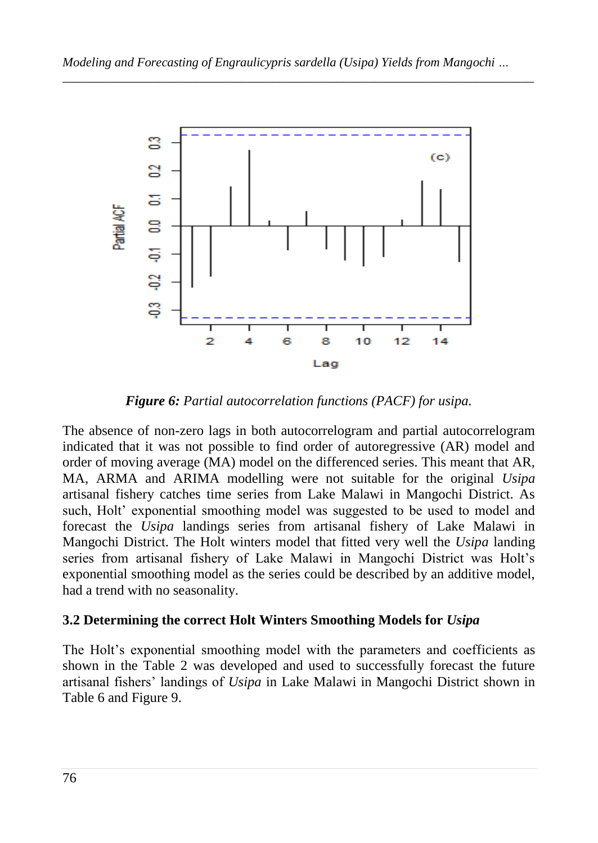

*Figure 6: Partial autocorrelation functions (PACF) for usipa.*

The absence of non-zero lags in both autocorrelogram and partial autocorrelogram indicated that it was not possible to find order of autoregressive (AR) model and order of moving average (MA) model on the differenced series. This meant that AR, MA, ARMA and ARIMA modelling were not suitable for the original *Usipa* artisanal fishery catches time series from Lake Malawi in Mangochi District. As such, Holt" exponential smoothing model was suggested to be used to model and forecast the *Usipa* landings series from artisanal fishery of Lake Malawi in Mangochi District. The Holt winters model that fitted very well the *Usipa* landing series from artisanal fishery of Lake Malawi in Mangochi District was Holt"s exponential smoothing model as the series could be described by an additive model, had a trend with no seasonality.

# **3.2 Determining the correct Holt Winters Smoothing Models for** *Usipa*

The Holt"s exponential smoothing model with the parameters and coefficients as shown in the Table 2 was developed and used to successfully forecast the future artisanal fishers" landings of *Usipa* in Lake Malawi in Mangochi District shown in Table 6 and Figure 9.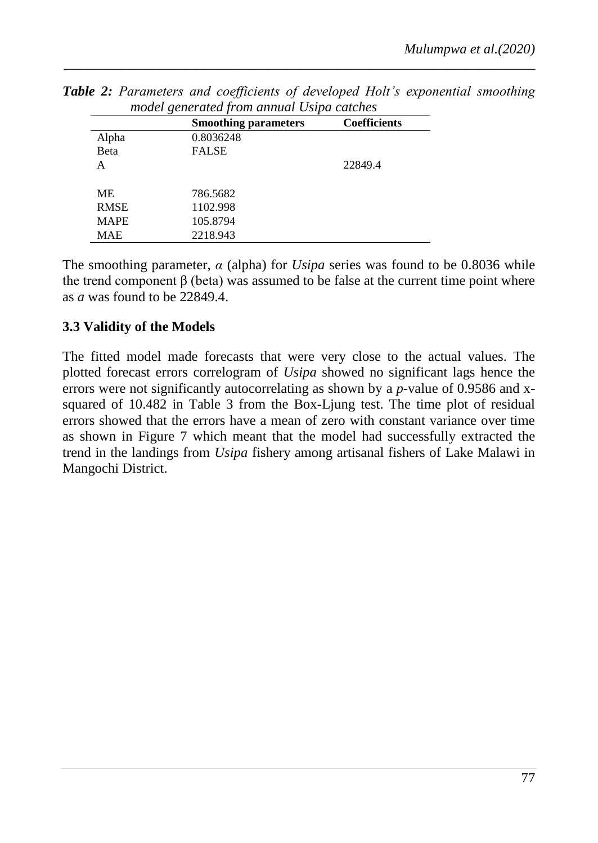|              | <b>Smoothing parameters</b> | <b>Coefficients</b> |
|--------------|-----------------------------|---------------------|
| Alpha        | 0.8036248                   |                     |
| <b>B</b> eta | FALSE                       |                     |
| A            |                             | 22849.4             |
| МE           | 786.5682                    |                     |
| <b>RMSE</b>  | 1102.998                    |                     |
| <b>MAPE</b>  | 105.8794                    |                     |
| <b>MAE</b>   | 2218.943                    |                     |

*Table 2: Parameters and coefficients of developed Holt's exponential smoothing model generated from annual Usipa catches* 

The smoothing parameter,  $\alpha$  (alpha) for *Usipa* series was found to be 0.8036 while the trend component β (beta) was assumed to be false at the current time point where as *a* was found to be 22849.4.

## **3.3 Validity of the Models**

The fitted model made forecasts that were very close to the actual values. The plotted forecast errors correlogram of *Usipa* showed no significant lags hence the errors were not significantly autocorrelating as shown by a *p*-value of 0.9586 and xsquared of 10.482 in Table 3 from the Box-Ljung test. The time plot of residual errors showed that the errors have a mean of zero with constant variance over time as shown in Figure 7 which meant that the model had successfully extracted the trend in the landings from *Usipa* fishery among artisanal fishers of Lake Malawi in Mangochi District.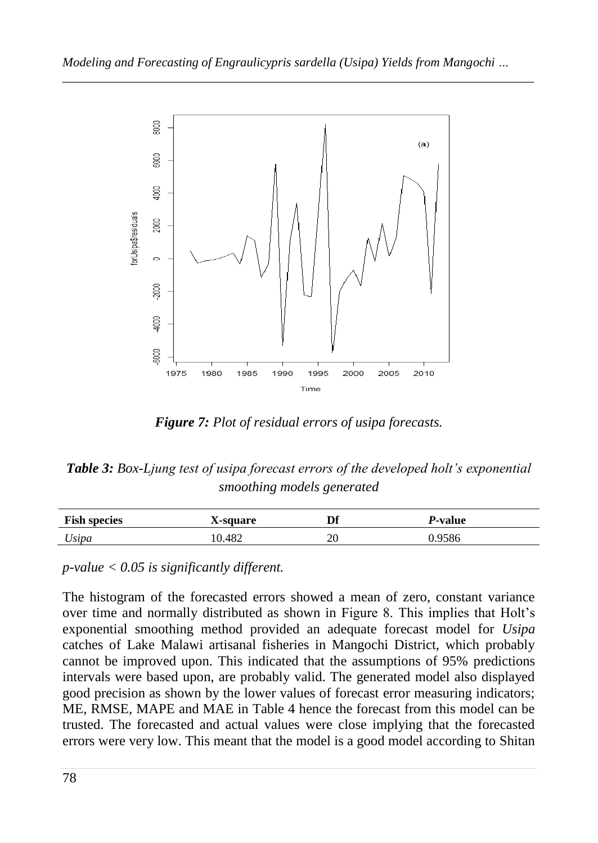

*Figure 7: Plot of residual errors of usipa forecasts.*

*Table 3: Box-Ljung test of usipa forecast errors of the developed holt's exponential smoothing models generated*

| <b>Fish species</b> | X-square | nе                  | <i>P</i> -value |
|---------------------|----------|---------------------|-----------------|
| Usipa               | 10.482   | $\mathcal{L}$<br>ZU | J.9586          |

*p-value < 0.05 is significantly different.*

The histogram of the forecasted errors showed a mean of zero, constant variance over time and normally distributed as shown in Figure 8. This implies that Holt's exponential smoothing method provided an adequate forecast model for *Usipa* catches of Lake Malawi artisanal fisheries in Mangochi District, which probably cannot be improved upon. This indicated that the assumptions of 95% predictions intervals were based upon, are probably valid. The generated model also displayed good precision as shown by the lower values of forecast error measuring indicators; ME, RMSE, MAPE and MAE in Table 4 hence the forecast from this model can be trusted. The forecasted and actual values were close implying that the forecasted errors were very low. This meant that the model is a good model according to Shitan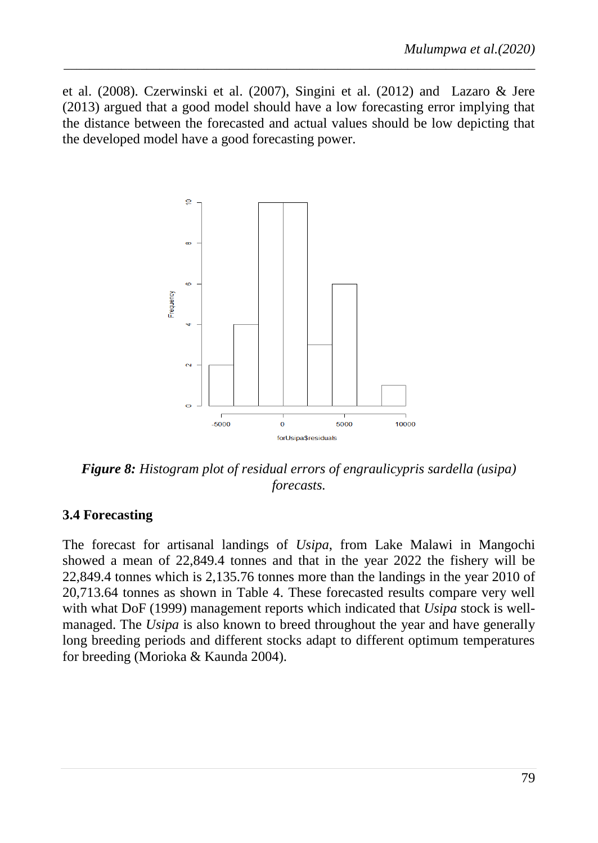et al. (2008). Czerwinski et al. (2007), Singini et al. (2012) and Lazaro & Jere (2013) argued that a good model should have a low forecasting error implying that the distance between the forecasted and actual values should be low depicting that the developed model have a good forecasting power.

*\_\_\_\_\_\_\_\_\_\_\_\_\_\_\_\_\_\_\_\_\_\_\_\_\_\_\_\_\_\_\_\_\_\_\_\_\_\_\_\_\_\_\_\_\_\_\_\_\_\_\_\_\_\_\_\_\_\_\_\_\_\_\_\_\_\_\_\_\_\_\_\_\_\_*



*Figure 8: Histogram plot of residual errors of engraulicypris sardella (usipa) forecasts.*

#### **3.4 Forecasting**

The forecast for artisanal landings of *Usipa*, from Lake Malawi in Mangochi showed a mean of 22,849.4 tonnes and that in the year 2022 the fishery will be 22,849.4 tonnes which is 2,135.76 tonnes more than the landings in the year 2010 of 20,713.64 tonnes as shown in Table 4. These forecasted results compare very well with what DoF (1999) management reports which indicated that *Usipa* stock is wellmanaged. The *Usipa* is also known to breed throughout the year and have generally long breeding periods and different stocks adapt to different optimum temperatures for breeding (Morioka & Kaunda 2004).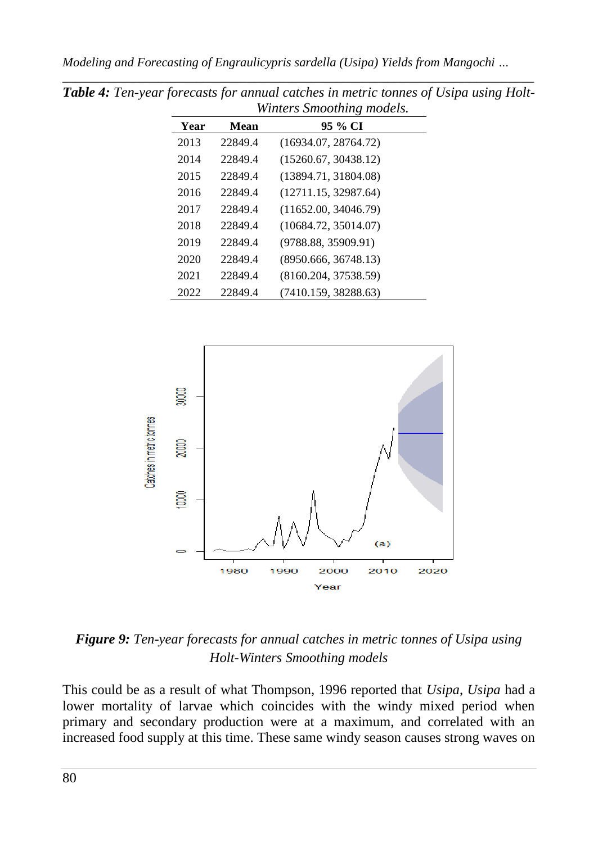| Year | Mean    | 95 % CI              |
|------|---------|----------------------|
| 2013 | 22849.4 | (16934.07, 28764.72) |
| 2014 | 22849.4 | (15260.67, 30438.12) |
| 2015 | 22849.4 | (13894.71, 31804.08) |
| 2016 | 22849.4 | (12711.15, 32987.64) |
| 2017 | 22849.4 | (11652.00, 34046.79) |
| 2018 | 22849.4 | (10684.72, 35014.07) |
| 2019 | 22849.4 | (9788.88, 35909.91)  |
| 2020 | 22849.4 | (8950.666, 36748.13) |
| 2021 | 22849.4 | (8160.204, 37538.59) |
| 2022 | 22849.4 | (7410.159, 38288.63) |

*\_\_\_\_\_\_\_\_\_\_\_\_\_\_\_\_\_\_\_\_\_\_\_\_\_\_\_\_\_\_\_\_\_\_\_\_\_\_\_\_\_\_\_\_\_\_\_\_\_\_\_\_\_\_\_\_\_\_\_\_\_\_\_\_\_\_\_\_\_\_\_\_\_\_ Table 4: Ten-year forecasts for annual catches in metric tonnes of Usipa using Holt-Winters Smoothing models.*



*Figure 9: Ten-year forecasts for annual catches in metric tonnes of Usipa using Holt-Winters Smoothing models*

This could be as a result of what Thompson, 1996 reported that *Usipa*, *Usipa* had a lower mortality of larvae which coincides with the windy mixed period when primary and secondary production were at a maximum, and correlated with an increased food supply at this time. These same windy season causes strong waves on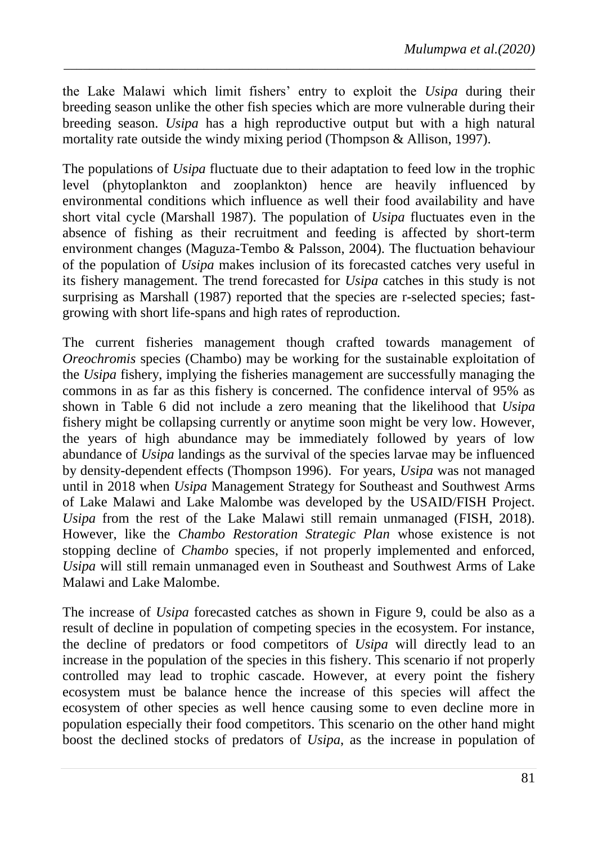the Lake Malawi which limit fishers" entry to exploit the *Usipa* during their breeding season unlike the other fish species which are more vulnerable during their breeding season. *Usipa* has a high reproductive output but with a high natural mortality rate outside the windy mixing period (Thompson & Allison, 1997).

*\_\_\_\_\_\_\_\_\_\_\_\_\_\_\_\_\_\_\_\_\_\_\_\_\_\_\_\_\_\_\_\_\_\_\_\_\_\_\_\_\_\_\_\_\_\_\_\_\_\_\_\_\_\_\_\_\_\_\_\_\_\_\_\_\_\_\_\_\_\_\_\_\_\_*

The populations of *Usipa* fluctuate due to their adaptation to feed low in the trophic level (phytoplankton and zooplankton) hence are heavily influenced by environmental conditions which influence as well their food availability and have short vital cycle (Marshall 1987). The population of *Usipa* fluctuates even in the absence of fishing as their recruitment and feeding is affected by short-term environment changes (Maguza-Tembo & Palsson, 2004). The fluctuation behaviour of the population of *Usipa* makes inclusion of its forecasted catches very useful in its fishery management. The trend forecasted for *Usipa* catches in this study is not surprising as Marshall (1987) reported that the species are r-selected species; fastgrowing with short life-spans and high rates of reproduction.

The current fisheries management though crafted towards management of *Oreochromis* species (Chambo) may be working for the sustainable exploitation of the *Usipa* fishery, implying the fisheries management are successfully managing the commons in as far as this fishery is concerned. The confidence interval of 95% as shown in Table 6 did not include a zero meaning that the likelihood that *Usipa* fishery might be collapsing currently or anytime soon might be very low. However, the years of high abundance may be immediately followed by years of low abundance of *Usipa* landings as the survival of the species larvae may be influenced by density-dependent effects (Thompson 1996). For years, *Usipa* was not managed until in 2018 when *Usipa* Management Strategy for Southeast and Southwest Arms of Lake Malawi and Lake Malombe was developed by the USAID/FISH Project. *Usipa* from the rest of the Lake Malawi still remain unmanaged (FISH, 2018). However, like the *Chambo Restoration Strategic Plan* whose existence is not stopping decline of *Chambo* species, if not properly implemented and enforced, *Usipa* will still remain unmanaged even in Southeast and Southwest Arms of Lake Malawi and Lake Malombe.

The increase of *Usipa* forecasted catches as shown in Figure 9, could be also as a result of decline in population of competing species in the ecosystem. For instance, the decline of predators or food competitors of *Usipa* will directly lead to an increase in the population of the species in this fishery. This scenario if not properly controlled may lead to trophic cascade. However, at every point the fishery ecosystem must be balance hence the increase of this species will affect the ecosystem of other species as well hence causing some to even decline more in population especially their food competitors. This scenario on the other hand might boost the declined stocks of predators of *Usipa*, as the increase in population of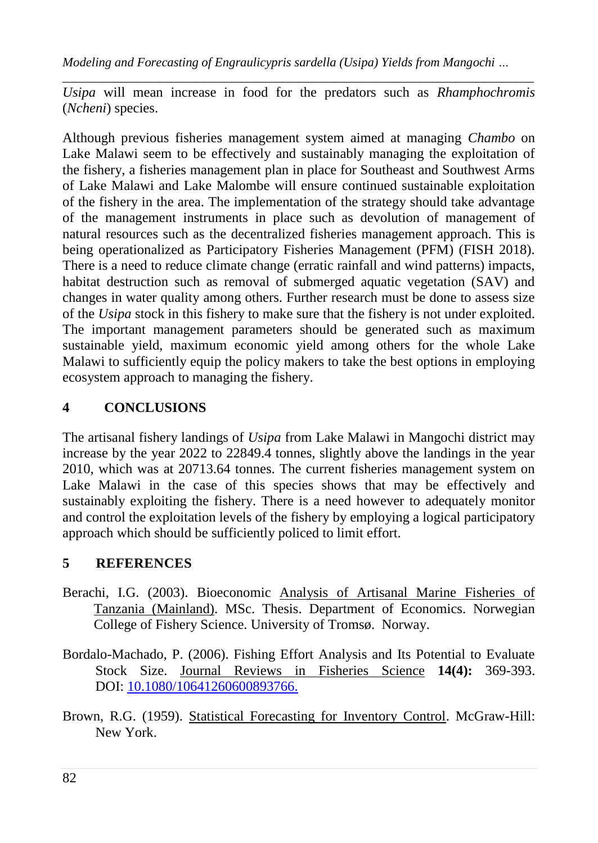*\_\_\_\_\_\_\_\_\_\_\_\_\_\_\_\_\_\_\_\_\_\_\_\_\_\_\_\_\_\_\_\_\_\_\_\_\_\_\_\_\_\_\_\_\_\_\_\_\_\_\_\_\_\_\_\_\_\_\_\_\_\_\_\_\_\_\_\_\_\_\_\_\_\_ Usipa* will mean increase in food for the predators such as *Rhamphochromis*  (*Ncheni*) species.

Although previous fisheries management system aimed at managing *Chambo* on Lake Malawi seem to be effectively and sustainably managing the exploitation of the fishery, a fisheries management plan in place for Southeast and Southwest Arms of Lake Malawi and Lake Malombe will ensure continued sustainable exploitation of the fishery in the area. The implementation of the strategy should take advantage of the management instruments in place such as devolution of management of natural resources such as the decentralized fisheries management approach. This is being operationalized as Participatory Fisheries Management (PFM) (FISH 2018). There is a need to reduce climate change (erratic rainfall and wind patterns) impacts, habitat destruction such as removal of submerged aquatic vegetation (SAV) and changes in water quality among others. Further research must be done to assess size of the *Usipa* stock in this fishery to make sure that the fishery is not under exploited. The important management parameters should be generated such as maximum sustainable yield, maximum economic yield among others for the whole Lake Malawi to sufficiently equip the policy makers to take the best options in employing ecosystem approach to managing the fishery.

## **4 CONCLUSIONS**

The artisanal fishery landings of *Usipa* from Lake Malawi in Mangochi district may increase by the year 2022 to 22849.4 tonnes, slightly above the landings in the year 2010, which was at 20713.64 tonnes. The current fisheries management system on Lake Malawi in the case of this species shows that may be effectively and sustainably exploiting the fishery. There is a need however to adequately monitor and control the exploitation levels of the fishery by employing a logical participatory approach which should be sufficiently policed to limit effort.

# **5 REFERENCES**

- Berachi, I.G. (2003). Bioeconomic Analysis of Artisanal Marine Fisheries of Tanzania (Mainland). MSc. Thesis. Department of Economics. Norwegian College of Fishery Science. University of Tromsø. Norway.
- Bordalo-Machado, P. (2006). Fishing Effort Analysis and Its Potential to Evaluate Stock Size. Journal Reviews in Fisheries Science **14(4):** 369-393. DOI: [10.1080/10641260600893766.](https://doi.org/10.1080/10641260600893766)
- Brown, R.G. (1959). Statistical Forecasting for Inventory Control. McGraw-Hill: New York.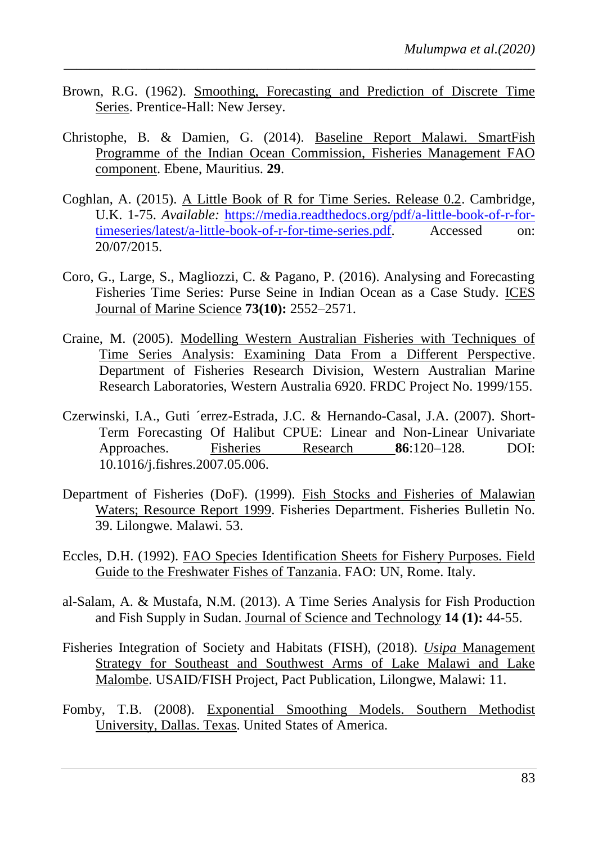Brown, R.G. (1962). Smoothing, Forecasting and Prediction of Discrete Time Series. Prentice-Hall: New Jersey.

- Christophe, B. & Damien, G. (2014). Baseline Report Malawi. SmartFish Programme of the Indian Ocean Commission, Fisheries Management FAO component. Ebene, Mauritius. **29**.
- Coghlan, A. (2015). A Little Book of R for Time Series. Release 0.2. Cambridge, U.K. 1-75. *Available:* [https://media.readthedocs.org/pdf/a-little-book-of-r-for](https://media.readthedocs.org/pdf/a-little-book-of-r-for-timeseries/latest/a-little-book-of-r-for-time-series.pdf)[timeseries/latest/a-little-book-of-r-for-time-series.pdf.](https://media.readthedocs.org/pdf/a-little-book-of-r-for-timeseries/latest/a-little-book-of-r-for-time-series.pdf) Accessed on: 20/07/2015.
- Coro, G., Large, S., Magliozzi, C. & Pagano, P. (2016). Analysing and Forecasting Fisheries Time Series: Purse Seine in Indian Ocean as a Case Study. ICES Journal of Marine Science **73(10):** 2552–2571.
- Craine, M. (2005). Modelling Western Australian Fisheries with Techniques of Time Series Analysis: Examining Data From a Different Perspective. Department of Fisheries Research Division, Western Australian Marine Research Laboratories, Western Australia 6920. FRDC Project No. 1999/155.
- Czerwinski, I.A., Guti ´errez-Estrada, J.C. & Hernando-Casal, J.A. (2007). Short-Term Forecasting Of Halibut CPUE: Linear and Non-Linear Univariate Approaches. Fisheries Research **86**:120–128. DOI: 10.1016/j.fishres.2007.05.006.
- Department of Fisheries (DoF). (1999). Fish Stocks and Fisheries of Malawian Waters; Resource Report 1999. Fisheries Department. Fisheries Bulletin No. 39. Lilongwe. Malawi. 53.
- Eccles, D.H. (1992). FAO Species Identification Sheets for Fishery Purposes. Field Guide to the Freshwater Fishes of Tanzania. FAO: UN, Rome. Italy.
- al-Salam, A. & Mustafa, N.M. (2013). A Time Series Analysis for Fish Production and Fish Supply in Sudan. Journal of Science and Technology **14 (1):** 44-55.
- Fisheries Integration of Society and Habitats (FISH), (2018). *Usipa* Management Strategy for Southeast and Southwest Arms of Lake Malawi and Lake Malombe. USAID/FISH Project, Pact Publication, Lilongwe, Malawi: 11.
- Fomby, T.B. (2008). Exponential Smoothing Models. Southern Methodist University, Dallas. Texas. United States of America.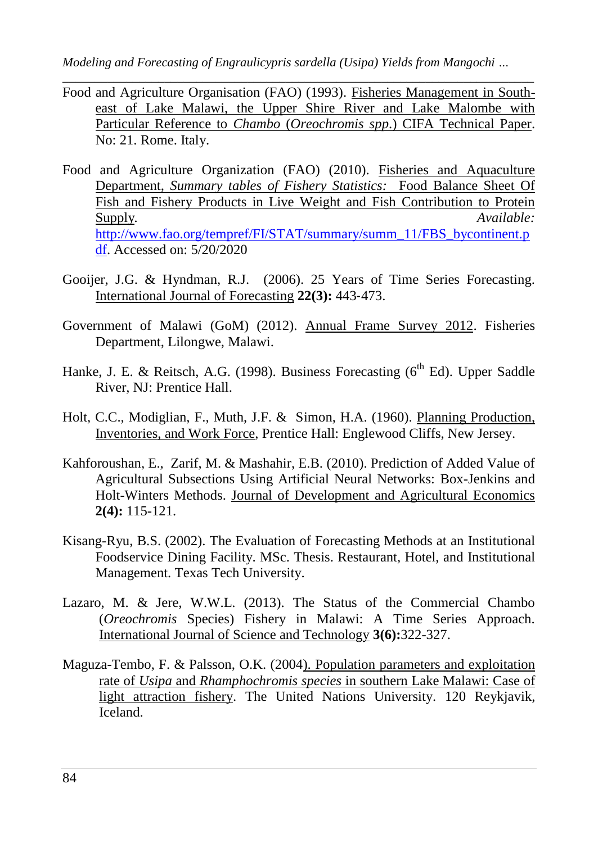*Modeling and Forecasting of Engraulicypris sardella (Usipa) Yields from Mangochi …*

- *\_\_\_\_\_\_\_\_\_\_\_\_\_\_\_\_\_\_\_\_\_\_\_\_\_\_\_\_\_\_\_\_\_\_\_\_\_\_\_\_\_\_\_\_\_\_\_\_\_\_\_\_\_\_\_\_\_\_\_\_\_\_\_\_\_\_\_\_\_\_\_\_\_\_* Food and Agriculture Organisation (FAO) (1993). Fisheries Management in Southeast of Lake Malawi, the Upper Shire River and Lake Malombe with Particular Reference to *Chambo* (*Oreochromis spp*.) CIFA Technical Paper. No: 21. Rome. Italy.
- Food and Agriculture Organization (FAO) (2010). Fisheries and Aquaculture Department, *Summary tables of Fishery Statistics:* Food Balance Sheet Of Fish and Fishery Products in Live Weight and Fish Contribution to Protein Supply*.* Available:  $A$ vailable:  $A$ vailable:  $A$ [http://www.fao.org/tempref/FI/STAT/summary/summ\\_11/FBS\\_bycontinent.p](http://www.fao.org/tempref/FI/STAT/summary/summ_11/FBS_bycontinent.pdf) [df.](http://www.fao.org/tempref/FI/STAT/summary/summ_11/FBS_bycontinent.pdf) Accessed on: 5/20/2020
- Gooijer, J.G. & Hyndman, R.J. (2006). 25 Years of Time Series Forecasting. International Journal of Forecasting **22(3):** 443‐473.
- Government of Malawi (GoM) (2012). Annual Frame Survey 2012. Fisheries Department, Lilongwe, Malawi.
- Hanke, J. E. & Reitsch, A.G. (1998). Business Forecasting ( $6<sup>th</sup>$  Ed). Upper Saddle River, NJ: Prentice Hall.
- Holt, C.C., Modiglian, F., Muth, J.F. & Simon, H.A. (1960). Planning Production, Inventories, and Work Force, Prentice Hall: Englewood Cliffs, New Jersey.
- Kahforoushan, E., Zarif, M. & Mashahir, E.B. (2010). Prediction of Added Value of Agricultural Subsections Using Artificial Neural Networks: Box-Jenkins and Holt-Winters Methods. Journal of Development and Agricultural Economics **2(4):** 115-121.
- Kisang-Ryu, B.S. (2002). The Evaluation of Forecasting Methods at an Institutional Foodservice Dining Facility. MSc. Thesis. Restaurant, Hotel, and Institutional Management. Texas Tech University.
- Lazaro, M. & Jere, W.W.L. (2013). The Status of the Commercial Chambo (*Oreochromis* Species) Fishery in Malawi: A Time Series Approach. International Journal of Science and Technology **3(6):**322-327.
- Maguza-Tembo, F. & Palsson, O.K. (2004). Population parameters and exploitation rate of *Usipa* and *Rhamphochromis species* in southern Lake Malawi: Case of light attraction fishery. The United Nations University. 120 Reykjavik, Iceland.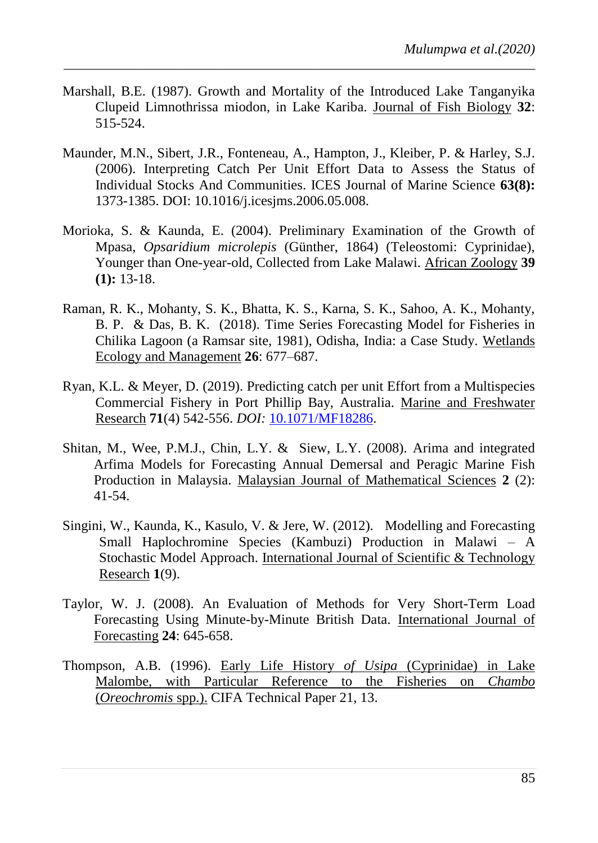Marshall, B.E. (1987). Growth and Mortality of the Introduced Lake Tanganyika Clupeid Limnothrissa miodon, in Lake Kariba. Journal of Fish Biology **32**: 515-524.

- Maunder, M.N., Sibert, J.R., Fonteneau, A., Hampton, J., Kleiber, P. & Harley, S.J. (2006). Interpreting Catch Per Unit Effort Data to Assess the Status of Individual Stocks And Communities. ICES Journal of Marine Science **63(8):** 1373-1385. DOI: 10.1016/j.icesjms.2006.05.008.
- Morioka, S. & Kaunda, E. (2004). Preliminary Examination of the Growth of Mpasa, *Opsaridium microlepis* (Günther, 1864) (Teleostomi: Cyprinidae), Younger than One-year-old, Collected from Lake Malawi. African Zoology **39 (1):** 13-18.
- Raman, R. K., Mohanty, S. K., Bhatta, K. S., Karna, S. K., Sahoo, A. K., Mohanty, B. P. & Das, B. K. (2018). Time Series Forecasting Model for Fisheries in Chilika Lagoon (a Ramsar site, 1981), Odisha, India: a Case Study. Wetlands Ecology and Management **26**: 677–687.
- Ryan, K.L. & Meyer, D. (2019). Predicting catch per unit Effort from a Multispecies Commercial Fishery in Port Phillip Bay, Australia. Marine and Freshwater Research **71**(4) 542-556. *DOI:* [10.1071/MF18286.](https://doi.org/10.1071/MF18286)
- Shitan, M., Wee, P.M.J., Chin, L.Y. & Siew, L.Y. (2008). Arima and integrated Arfima Models for Forecasting Annual Demersal and Peragic Marine Fish Production in Malaysia. Malaysian Journal of Mathematical Sciences **2** (2): 41-54.
- Singini, W., Kaunda, K., Kasulo, V. & Jere, W. (2012).Modelling and Forecasting Small Haplochromine Species (Kambuzi) Production in Malawi – A Stochastic Model Approach. International Journal of Scientific & Technology Research **1**(9).
- Taylor, W. J. (2008). An Evaluation of Methods for Very Short-Term Load Forecasting Using Minute-by-Minute British Data. International Journal of Forecasting **24**: 645-658.
- Thompson, A.B. (1996). Early Life History *of Usipa* (Cyprinidae) in Lake Malombe, with Particular Reference to the Fisheries on *Chambo* (*Oreochromis* spp.). CIFA Technical Paper 21, 13.